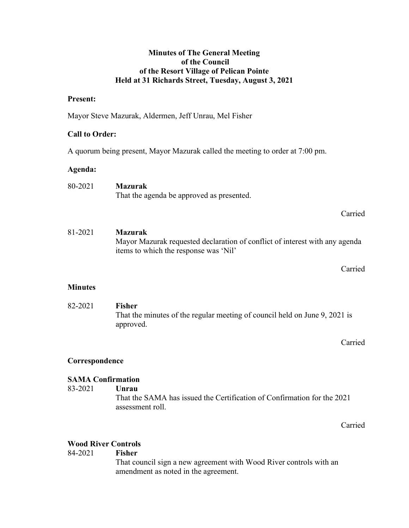## Minutes of The General Meeting of the Council of the Resort Village of Pelican Pointe Held at 31 Richards Street, Tuesday, August 3, 2021

### Present:

Mayor Steve Mazurak, Aldermen, Jeff Unrau, Mel Fisher

## Call to Order:

A quorum being present, Mayor Mazurak called the meeting to order at 7:00 pm.

## Agenda:

| 80-2021 | <b>Mazurak</b>                            |
|---------|-------------------------------------------|
|         | That the agenda be approved as presented. |
|         |                                           |

81-2021 Mazurak Mayor Mazurak requested declaration of conflict of interest with any agenda items to which the response was 'Nil'

Carried

Carried

## **Minutes**

 82-2021 Fisher That the minutes of the regular meeting of council held on June 9, 2021 is approved.

Carried

# Correspondence

## SAMA Confirmation

83-2021 Unrau

 That the SAMA has issued the Certification of Confirmation for the 2021 assessment roll.

Carried

# Wood River Controls

## 84-2021 Fisher

That council sign a new agreement with Wood River controls with an amendment as noted in the agreement.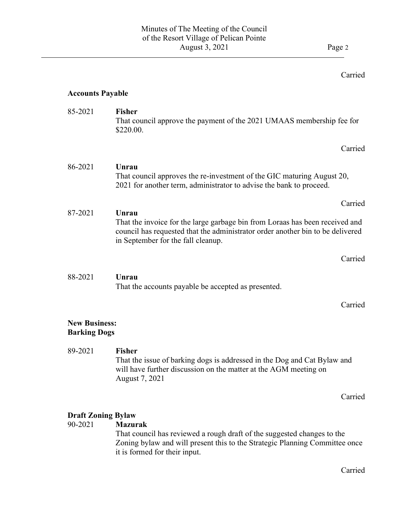# Carried

# Accounts Payable

 $\overline{a}$ 

| 85-2021                                     | <b>Fisher</b><br>That council approve the payment of the 2021 UMAAS membership fee for<br>\$220.00.                                                                                                           |         |
|---------------------------------------------|---------------------------------------------------------------------------------------------------------------------------------------------------------------------------------------------------------------|---------|
|                                             |                                                                                                                                                                                                               | Carried |
| 86-2021                                     | Unrau<br>That council approves the re-investment of the GIC maturing August 20,<br>2021 for another term, administrator to advise the bank to proceed.                                                        |         |
|                                             |                                                                                                                                                                                                               | Carried |
| 87-2021                                     | Unrau<br>That the invoice for the large garbage bin from Loraas has been received and<br>council has requested that the administrator order another bin to be delivered<br>in September for the fall cleanup. |         |
|                                             |                                                                                                                                                                                                               | Carried |
| 88-2021                                     | Unrau<br>That the accounts payable be accepted as presented.                                                                                                                                                  |         |
|                                             |                                                                                                                                                                                                               | Carried |
| <b>New Business:</b><br><b>Barking Dogs</b> |                                                                                                                                                                                                               |         |
| 89-2021                                     | <b>Fisher</b><br>That the issue of barking dogs is addressed in the Dog and Cat Bylaw and<br>will have further discussion on the matter at the AGM meeting on<br>August 7, 2021                               |         |

Carried

# **Draft Zoning Bylaw<br>90-2021 Mazur**

## **Mazurak**

That council has reviewed a rough draft of the suggested changes to the Zoning bylaw and will present this to the Strategic Planning Committee once it is formed for their input.

Carried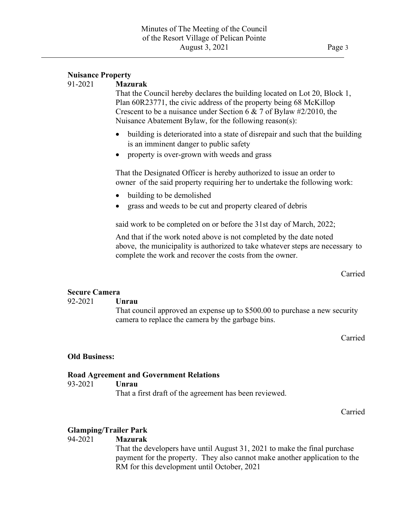$\overline{a}$ 

 That the Council hereby declares the building located on Lot 20, Block 1, Plan 60R23771, the civic address of the property being 68 McKillop Crescent to be a nuisance under Section 6 & 7 of Bylaw #2/2010, the Nuisance Abatement Bylaw, for the following reason(s):

- building is deteriorated into a state of disrepair and such that the building is an imminent danger to public safety
- property is over-grown with weeds and grass

That the Designated Officer is hereby authorized to issue an order to owner of the said property requiring her to undertake the following work:

- building to be demolished
- grass and weeds to be cut and property cleared of debris

said work to be completed on or before the 31st day of March, 2022;

And that if the work noted above is not completed by the date noted above, the municipality is authorized to take whatever steps are necessary to complete the work and recover the costs from the owner.

Carried

# Secure Camera

### 92-2021 Unrau

 That council approved an expense up to \$500.00 to purchase a new security camera to replace the camera by the garbage bins.

Carried

## Old Business:

### Road Agreement and Government Relations

### 93-2021 Unrau

That a first draft of the agreement has been reviewed.

Carried

## Glamping/Trailer Park

## 94-2021 Mazurak

 That the developers have until August 31, 2021 to make the final purchase payment for the property. They also cannot make another application to the RM for this development until October, 2021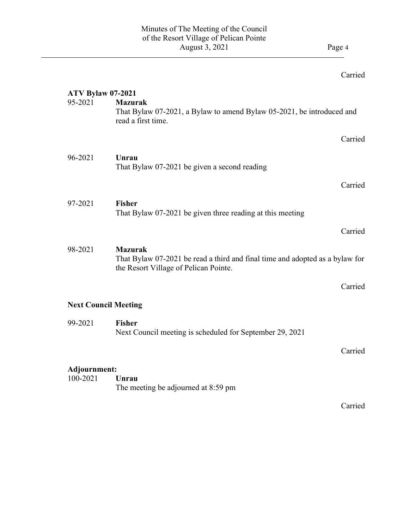$\overline{a}$ 

# Carried

| <b>ATV Bylaw 07-2021</b> |                                                                                                                       |         |
|--------------------------|-----------------------------------------------------------------------------------------------------------------------|---------|
| 95-2021                  | <b>Mazurak</b><br>That Bylaw 07-2021, a Bylaw to amend Bylaw 05-2021, be introduced and                               |         |
|                          | read a first time.                                                                                                    |         |
|                          |                                                                                                                       | Carried |
| 96-2021                  | Unrau                                                                                                                 |         |
|                          | That Bylaw 07-2021 be given a second reading                                                                          |         |
|                          |                                                                                                                       | Carried |
| 97-2021                  | <b>Fisher</b>                                                                                                         |         |
|                          | That Bylaw 07-2021 be given three reading at this meeting                                                             |         |
|                          |                                                                                                                       | Carried |
| 98-2021                  | <b>Mazurak</b>                                                                                                        |         |
|                          | That Bylaw 07-2021 be read a third and final time and adopted as a bylaw for<br>the Resort Village of Pelican Pointe. |         |
|                          |                                                                                                                       | Carried |
|                          | <b>Next Council Meeting</b>                                                                                           |         |
| 99-2021                  | <b>Fisher</b>                                                                                                         |         |
|                          | Next Council meeting is scheduled for September 29, 2021                                                              |         |
|                          |                                                                                                                       | Carried |
| Adjournment:             |                                                                                                                       |         |
| 100-2021                 | Unrau                                                                                                                 |         |
|                          | The meeting be adjourned at 8:59 pm                                                                                   |         |
|                          |                                                                                                                       | Carried |